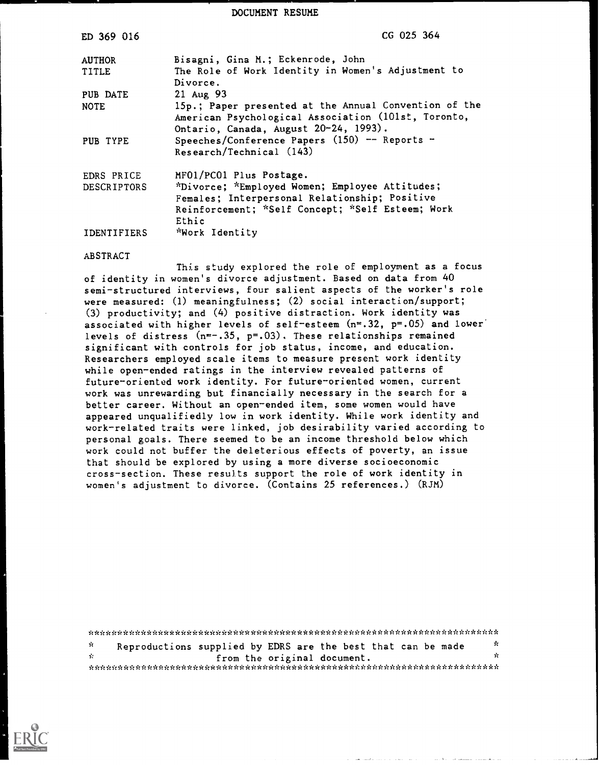DOCUMENT RESUME

| ED 369 016         | CG 025 364                                                                                                                                                          |
|--------------------|---------------------------------------------------------------------------------------------------------------------------------------------------------------------|
| <b>AUTHOR</b>      | Bisagni, Gina M.; Eckenrode, John                                                                                                                                   |
| TITLE              | The Role of Work Identity in Women's Adjustment to<br>Divorce.                                                                                                      |
| PUB DATE           | 21 Aug 93                                                                                                                                                           |
| <b>NOTE</b>        | 15p.; Paper presented at the Annual Convention of the<br>American Psychological Association (101st, Toronto,<br>Ontario, Canada, August 20-24, 1993).               |
| PUB TYPE           | Speeches/Conference Papers $(150)$ -- Reports -<br>Research/Technical (143)                                                                                         |
| EDRS PRICE         | MF01/PC01 Plus Postage.                                                                                                                                             |
| <b>DESCRIPTORS</b> | <i>*Divorce; *Employed Women; Employee Attitudes;</i><br>Females; Interpersonal Relationship; Positive<br>Reinforcement; *Self Concept; *Self Esteem; Work<br>Ethic |
| <b>IDENTIFIERS</b> | *Work Identity                                                                                                                                                      |

#### ABSTRACT

This study explored the role of employment as a focus of identity in women's divorce adjustment. Based on data from 40 semi-structured interviews, four salient aspects of the worker's role were measured: (1) meaningfulness; (2) social interaction/support; (3) productivity; and (4) positive distraction. Work identity was associated with higher levels of self-esteem  $(n=32, p=.05)$  and lower levels of distress  $(n=-.35, p=.03)$ . These relationships remained significant with controls for job status, income, and education. Researchers employed scale items to measure present work identity while open-ended ratings in the interview revealed patterns of future-oriented work identity. For future-oriented women, current work was unrewarding but financially necessary in the search for a better career. Without an open-ended item, some women would have appeared unqualifiedly low in work identity. While work identity and work-related traits were linked, job desirability varied according to personal goals. There seemed to be an income threshold below which work could not buffer the deleterious effects of poverty, an issue that should be explored by using a more diverse socioeconomic cross-section. These results support the role of work identity in women's adjustment to divorce. (Contains 25 references.) (RJM)

\*\*\*\*\*\*\*\*\*\*\*\*\*\*\*\*\*\*\*\*\*\*\*\*\*\*\*\*\*\*\*\*\*\*\*\*\*\*\*\*\*\*\*\*\*\*\*\*\*\*\*\*\*\*\*\*\*\*\*\*\*\*\*\*\*\*\*\*\*\*\* Reproductions supplied by EDRS are the best that can be made  $\frac{1}{x}$ ή¢ \* from the original document. \*

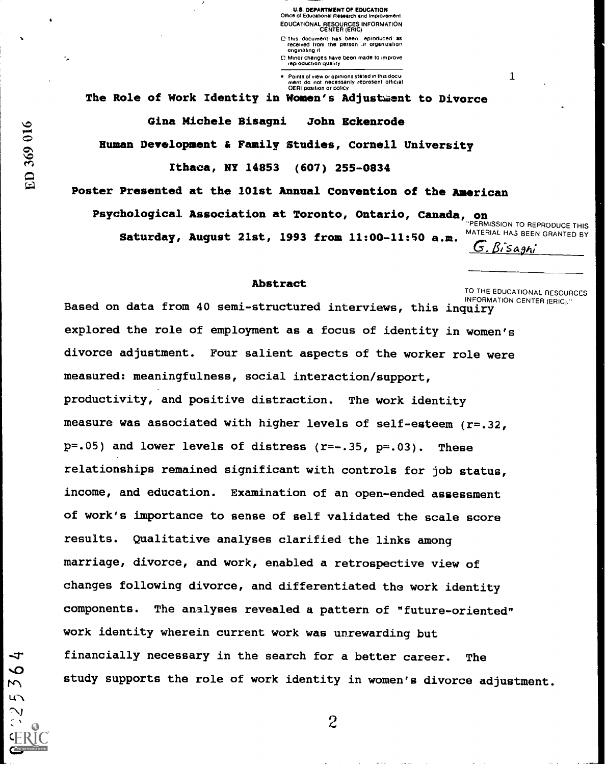U.S. DEPARTMENT Of EDUCATION Office of Educahonal Research and Improvement EDUCATIONAL RESOURCES INFORMATION CENTER (ERIC)

C This document has been eproduced as received from the person Jr Organization Originating it

O Minor changes have been made to improve reproduction quality

Points of view or opinions stated in this docu<del>:</del><br>ment :do\_not\_necessarily\_represent\_official<br>OERI position or policy

The Role of Work Identity in Women's Adjustment to Divorce

Gina Michele Bisagni John Eckenrode

Human Development & Family Studies, Cornell University

Ithaca, NY 14853 (607) 255-0834

Poster Presented at the 101st Annual Convention of the American

Psychological Association at Toronto, Ontario, Canada, on **PERMISSION TO REPRODUCE THIS** 

Saturday, August 21st, 1993 from 11:00-11:50 a.m.  $\overline{G}$ .  $\overline{G}$ .  $\overline{G}$ .  $\overline{Si}$ sagh;

1

#### Abstract

TO THE EDUCATIONAL RESOURCES<br>INFORMATION CENTER (ERIC)."

Based on data from 40 semi-structured interviews, this inquiry explored the role of employment as a focus of identity in women's divorce adjustment. Four salient aspects of the worker role were measured: meaningfulness, social interaction/support, productivity, and positive distraction. The work identity measure was associated with higher levels of self-esteem (r=.32,  $p=.05$ ) and lower levels of distress  $(r=-.35, p=.03)$ . These relationships remained significant with controls for job status, income, and education. Examination of an open-ended assessment of work's importance to sense of self validated the scale score results. Qualitative analyses clarified the links among marriage, divorce, and work, enabled a retrospective view of changes following divorce, and differentiated the work identity components. The analyses revealed a pattern of "future-oriented" work identity wherein current work was unrewarding but financially necessary in the search for a better career. The study supports the role of work identity in women's divorce adjustment.

ED 369 016

 $\sqrt{ }$ 

 $\overline{c}$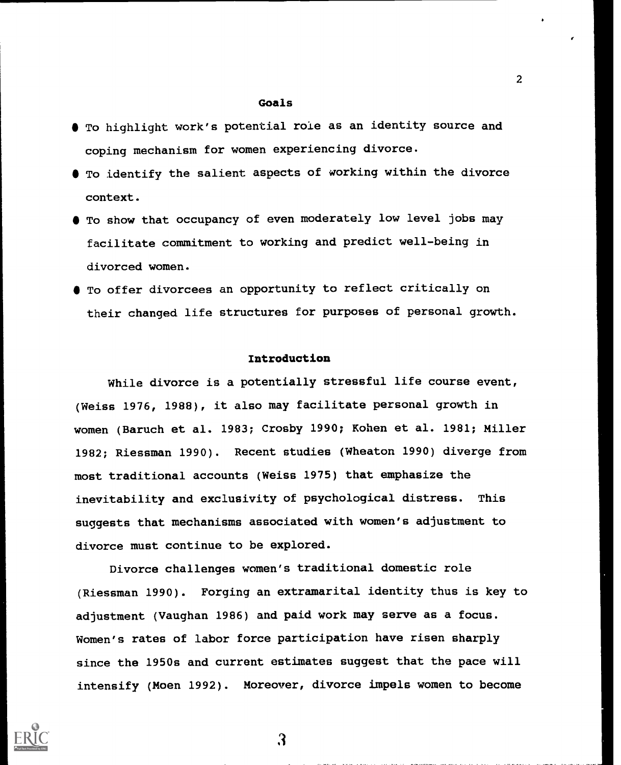### Goals

- To highlight work's potential role as an identity source and coping mechanism for women experiencing divorce.
- $\bullet$  To identify the salient aspects of working within the divorce context.
- To show that occupancy of even moderately low level jobs may facilitate commitment to working and predict well-being in divorced women.
- To offer divorcees an opportunity to reflect critically on their changed life structures for purposes of personal growth.

### Introduction

While divorce is a potentially stressful life course event, (Weiss 1976, 1988), it also may facilitate personal growth in women (Baruch et al. 1983; Crosby 1990; Kohen et al. 1981; Miller 1982; Riessman 1990). Recent studies (Wheaton 1990) diverge from most traditional accounts (Weiss 1975) that emphasize the inevitability and exclusivity of psychological distress. This suggests that mechanisms associated with women's adjustment to divorce must continue to be explored.

Divorce challenges women's traditional domestic role (Riessman 1990). Forging an extramarital identity thus is key to adjustment (Vaughan 1986) and paid work may serve as a focus. Women's rates of labor force participation have risen sharply since the 1950s and current estimates suggest that the pace will intensify (Moen 1992). Moreover, divorce impels women to become



3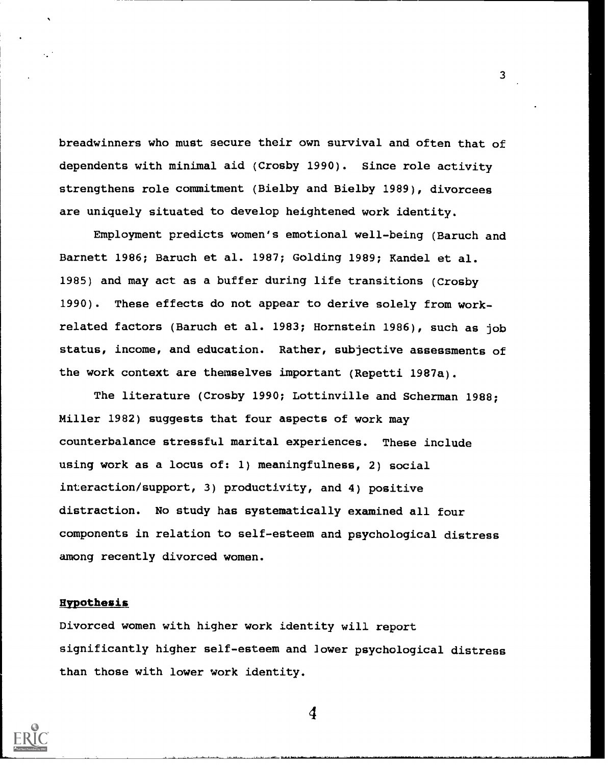breadwinners who must secure their own survival and often that of dependents with minimal aid (Crosby 1990). Since role activity strengthens role commitment (Bielby and Bielby 1989), divorcees are uniquely situated to develop heightened work identity.

Employment predicts women's emotional well-being (Baruch and Barnett 1986; Baruch et al. 1987; Golding 1989; Randel et al. 1985) and may act as a buffer during life transitions (Crosby 1990). These effects do not appear to derive solely from workrelated factors (Baruch et al. 1983; Hornstein 1986), such as job status, income, and education. Rather, subjective assessments of the work context are themselves important (Repetti 1987a).

The literature (Crosby 1990; Lottinville and Scherman 1988; Miller 1982) suggests that four aspects of work may counterbalance stressful marital experiences. These include using work as a locus of: 1) meaningfulness, 2) social interaction/support, 3) productivity, and 4) positive distraction. No study has systematically examined all four components in relation to self-esteem and psychological distress among recently divorced women.

### Hypothesis

Divorced women with higher work identity will report significantly higher self-esteem and lower psychological distress than those with lower work identity.



 $\boldsymbol{4}$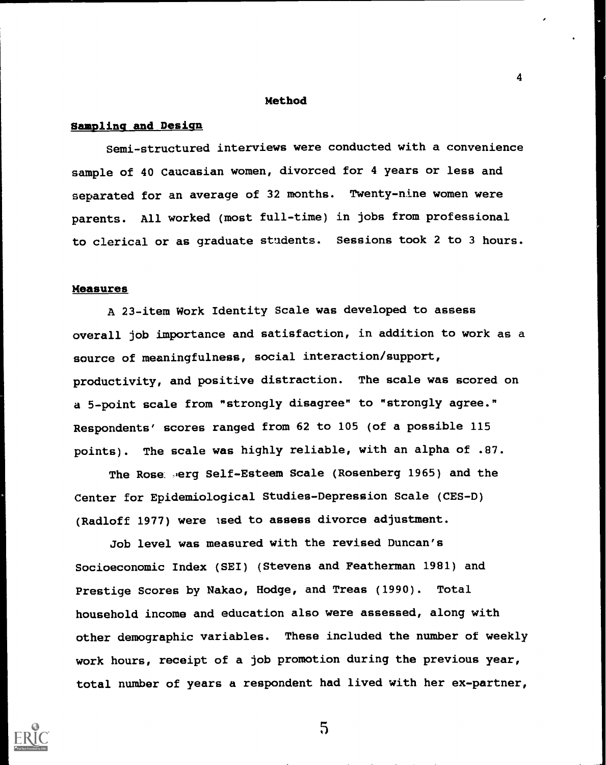#### Method

4

### Sampling and Design

Semi-structured interviews were conducted with a convenience sample of 40 Caucasian women, divorced for 4 years or less and separated for an average of 32 months. Twenty-nine women were parents. All worked (most full-time) in jobs from professional to clerical or as graduate students. Sessions took 2 to 3 hours.

### Measures

A 23-item Work Identity Scale was developed to assess overall job importance and satisfaction, in addition to work as a source of meaningfulness, social interaction/support, productivity, and positive distraction. The scale was scored on a 5-point scale from "strongly disagree" to "strongly agree." Respondents' scores ranged from 62 to 105 (of a possible 115 points). The scale was highly reliable, with an alpha of .87.

The Rose ..erg Self-Esteem Scale (Rosenberg 1965) and the Center for Epidemiological Studies-Depression Scale (CES-D) (Radloff 1977) were ised to assess divorce adjustment.

Job level was measured with the revised Duncan's Socioeconomic Index (SEI) (Stevens and Featherman 1981) and Prestige Scores by Nakao, Hodge, and Treas (1990). Total household income and education also were assessed, along with other demographic variables. These included the number of weekly work hours, receipt of a job promotion during the previous year, total number of years a respondent had lived with her ex-partner,

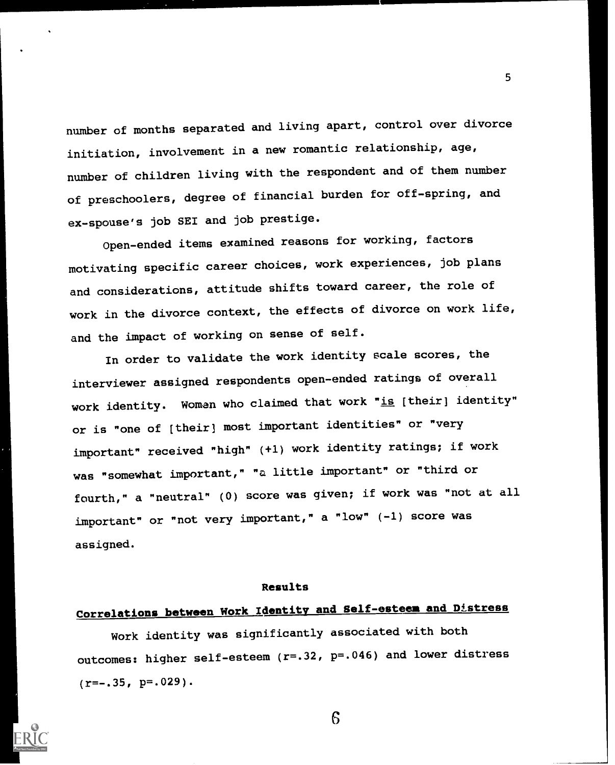number of months separated and living apart, control over divorce initiation, involvement in a new romantic relationship, age, number of children living with the respondent and of them number of preschoolers, degree of financial burden for off-spring, and ex-spouse's job SEI and job prestige.

5

Open-ended items examined reasons for working, factors motivating specific career choices, work experiences, job plans and considerations, attitude shifts toward career, the role of work in the divorce context, the effects of divorce on work life, and the impact of working on sense of self.

In order to validate the work identity scale scores, the interviewer assigned respondents open-ended ratings of overall work identity. Women who claimed that work "is [their] identity" or is "one of [their) most important identities" or "very important" received "high" (+1) work identity ratings; if work was "somewhat important," "a little important" or "third or fourth," a "neutral" (0) score was given; if work was "not at all important" or "not very important," a "low" (-1) score was assigned.

#### Results

# Correlations between Work Identity and Self-esteem and Distress

Work identity was significantly associated with both outcomes: higher self-esteem (r=.32, p=.046) and lower distress  $(r=-.35, p=.029)$ .

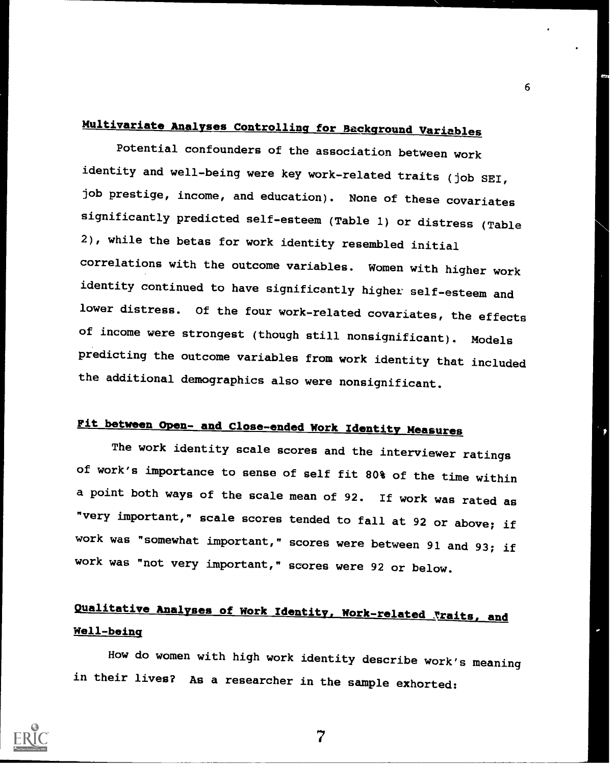# Multivariate Analyses Controlling for Background Variables

Potential confounders of the association between work identity and well-being were key work-related traits (job SEI, job prestige, income, and education). None of these covariates significantly predicted self-esteem (Table 1) or distress (Table 2), while the betas for work identity resembled initial correlations with the outcome variables. Women with higher work identity continued to have significantly higher self-esteem and lower distress. Of the four work-related covariates, the effects of income were strongest (though still nonsignificant). Models predicting the outcome variables from work identity that included the additional demographics also were nonsignificant.

# Fit between Open- and Close-ended Work Identity Measures

The work identity scale scores and the interviewer ratings of work's importance to sense of self fit 80% of the time within a point both ways of the scale mean of 92. If work was rated as "very important," scale scores tended to fall at 92 or above; if work was "somewhat Important," scores were between 91 and 93; if work was "not very important," scores were 92 or below.

# Qualitative Analyses of Work Identity, Work-related Traits, and Well-being

How do women with high work identity describe work's meaning in their lives? As a researcher in the sample exhorted:



7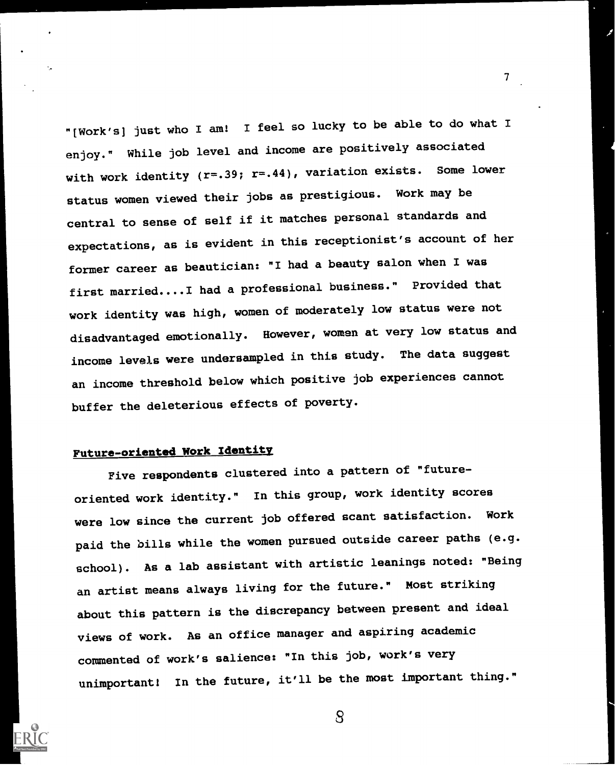"[Work's] just who I am! I feel so lucky to be able to do what I enjoy." While job level and income are positively associated with work identity  $(r=.39; r=.44)$ , variation exists. Some lower status women viewed their jobs as prestigious. Work may be central to sense of self if it matches personal standards and expectations, as is evident in this receptionist's account of her former career as beautician: "I had a beauty salon when I was first married....I had a professional business." Provided that work identity was high, women of moderately low status were not disadvantaged emotionally. However, women at very low status and income levels were undersampled in this study. The data suggest an income threshold below which positive job experiences cannot buffer the deleterious effects of poverty.

7

# Future-oriented Work Identity

Five respondents clustered into a pattern of "futureoriented work identity." In this group, work identity scores were low since the current job offered scant satisfaction. Work paid the bills while the women pursued outside career paths (e.g. school). As a lab assistant with artistic leanings noted: "Being an artist means always living for the future." Most striking about this pattern is the discrepancy between present and ideal views of work. As an office manager and aspiring academic commented of work's salience: "In this job, work's very unimportant! In the future, it'll be the most important thing."



 $\mathcal{S}$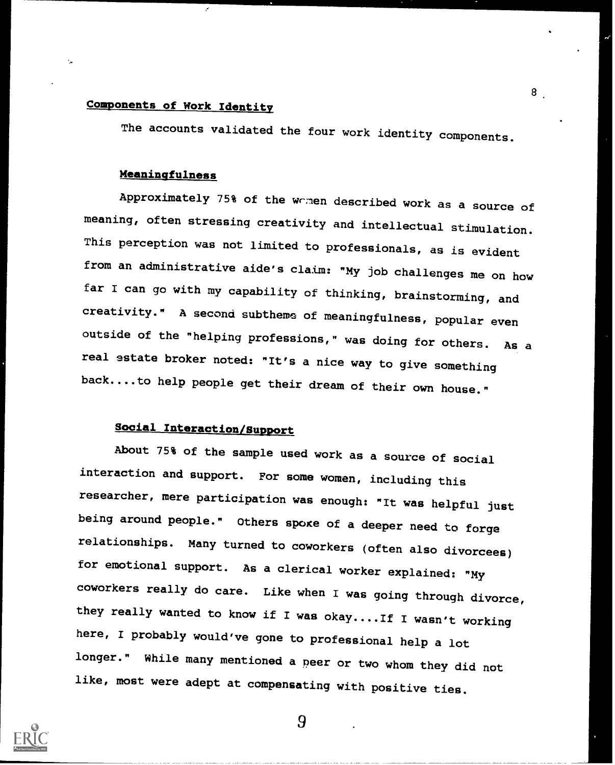# Components of Work Identity

The accounts validated the four work identity components.

8

### Meaningfulness

Approximately 75% of the wrnen described work as a source of meaning, often stressing creativity and intellectual stimulation. This perception was not limited to professionals, as is evident from an administrative aide's claim: "My job challenges me on how far I can go with my capability of thinking, brainstorming, and creativity." A second subtheme of meaningfulness, popular even outside of the "helping professions," was doing for others. As a real estate broker noted: "It's a nice way to give something back....to help people get their dream of their own house."

# Social Interaction/Support

About 75% of the sample used work as a source of social interaction and support. For some women, including this researcher, mere participation was enough: "It was helpful just being around people." Others spoke of a deeper need to forge relationships. Many turned to coworkers (often also divorcees) for emotional support. As a clerical worker explained: "My coworkers really do care. Like when I was going through divorce, they really wanted to know if I was okay....If I wasn't working here, I probably would've gone to professional help a lot longer." While many mentioned a peer or two whom they did not like, most were adept at compensating with positive ties.

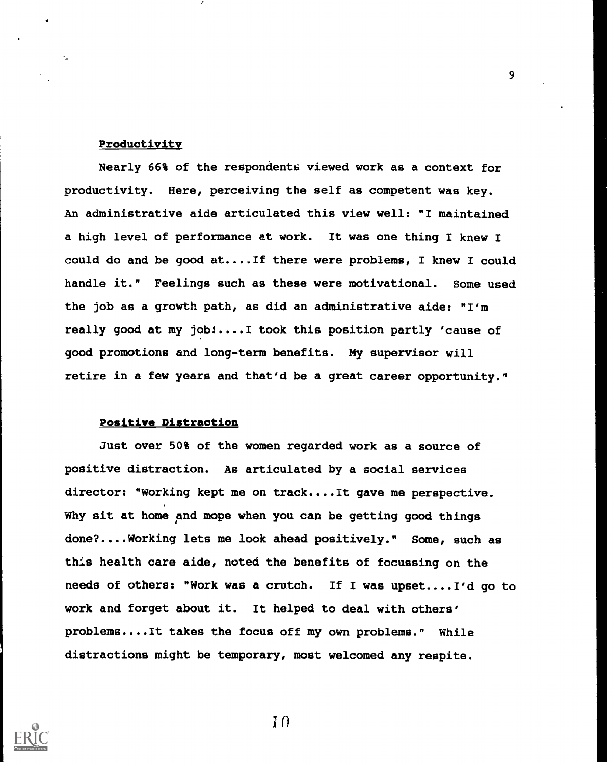### Productivity

Nearly 66% of the respondents viewed work as a context for productivity. Here, perceiving the self as competent was key. An administrative aide articulated this view well: "I maintained a high level of performance at work. It was one thing I knew I could do and be good at....If there were problems, I knew I could handle it." Feelings such as these were motivational. Some used the job as a growth path, as did an administrative aide: "I'm really good at my jobl....I took this position partly 'cause of good promotions and long-term benefits. My supervisor will retire in a few years and that'd be a great career opportunity."

### Positive Distraction

Just over 50% of the women regarded work as a source of positive distraction. As articulated by a social services director: "Working kept me on track....It gave me perspective. Why sit at home and mope when you can be getting good things done?....Working lets me look ahead positively." Some, such as this health care aide, noted the benefits of focussing on the needs of others: "Work was a crutch. If I was upset....I'd go to work and forget about it. It helped to deal with others' problems....It takes the focus off my own problems." While distractions might be temporary, most welcomed any respite.



10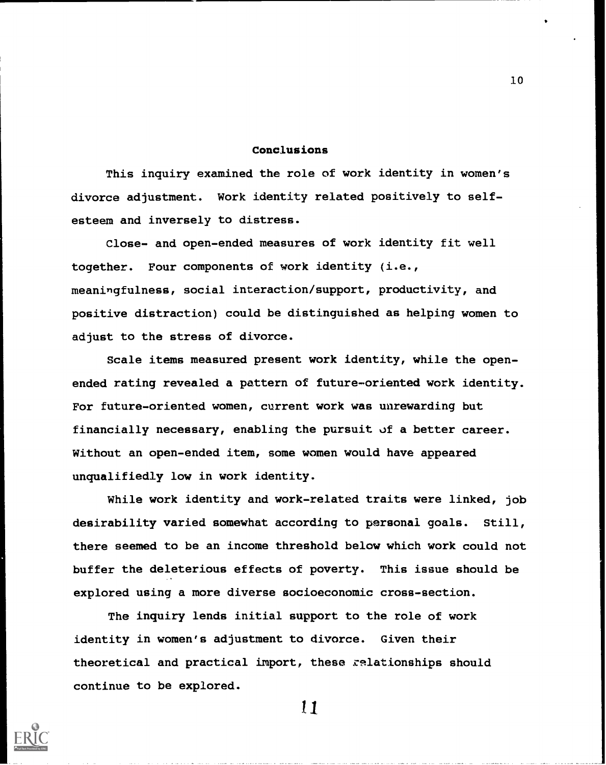### Conclusions

This inquiry examined the role of work identity in women's divorce adjustment. Work identity related positively to selfesteem and inversely to distress.

Close- and open-ended measures of work identity fit well together. Four components of work identity (i.e., meaningfulness, social interaction/support, productivity, and positive distraction) could be distinguished as helping women to adjust to the stress of divorce.

Scale items measured present work identity, while the openended rating revealed a pattern of future-oriented work identity. For future-oriented women, current work was unrewarding but financially necessary, enabling the pursuit of a better career. Without an open-ended item, some women would have appeared unqualifiedly low in work identity.

While work identity and work-related traits were linked, job desirability varied somewhat according to personal goals. Still, there seemed to be an income threshold below which work could not buffer the deleterious effects of poverty. This issue should be explored using a more diverse socioeconomic cross-section.

The inquiry lends initial support to the role of work identity in women's adjustment to divorce. Given their theoretical and practical import, these zelationships should continue to be explored.



11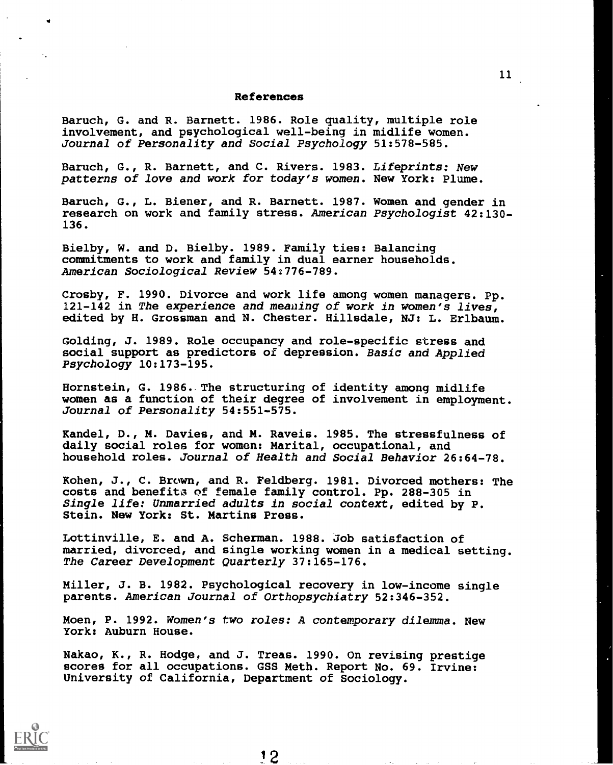#### References

Baruch, G. and R. Barnett. 1986. Role quality, multiple role involvement, and psychological well-being in midlife women. Journal of Personality and Social Psychology 51:578-585.

Baruch, G., R. Barnett, and C. Rivers. 1983. Lifeprints: New patterns of love and work for today's women. New York: Plume.

Baruch, G., L. Biener, and R. Barnett. 1987. Women and gender in research on work and family stress. American Psychologist 42:130- 136.

Bielby, W. and D. Bielby. 1989. Family ties: Balancing commitments to work and family in dual earner households. American Sociological Review 54:776-789.

Crosby, F. 1990. Divorce and work life among women managers. Pp. 121-142 in The experience and meaning of work in women's lives, edited by H. Grossman and N. Chester. Hillsdale, NJ: L. Erlbaum.

Golding, J. 1989. Role occupancy and role-specific stress and social support as predictors of depression. Basic and Applied Psychology 10:173-195.

Hornstein, G. 1986. The structuring of identity among midlife women as a function of their degree of involvement in employment. Journal of Personality 54:551-575.

Kandel, D., M. Davies, and M. Raveis. 1985. The stressfulness of daily social roles for women: Marital, occupational, and household roles. Journal of Health and Social Behavior 26:64-78.

Kohen, J., C. Brown, and R. Feldberg. 1981. Divorced mothers: The costs and benefits of female family control. Pp. 288-305 in Single life: Unmarried adults in social context, edited by P. Stein. New York: St. Martins Press.

Lottinville, E. and A. Scherman. 1988. Job satisfaction of married, divorced, and single working women in a medical setting. The Career Development Quarterly 37:165-176.

Miller, J. B. 1982. Psychological recovery in low-income single parents. American Journal of Orthopsychiatry 52:346-352.

Moen, P. 1992. Women's two roles: A contemporary dilemma. New York: Auburn House.

Nakao, K., R. Hodge, and J. Treas. 1990. On revising prestige scores for all occupations. GSS Meth. Report No. 69. Irvine: University of California, Department of Sociology.



 $11$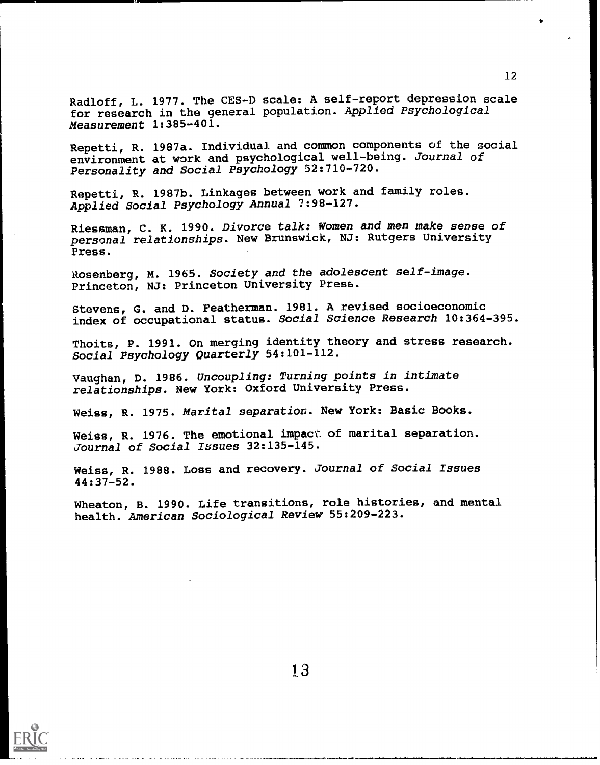Radloff, L. 1977. The CES-D scale: A self-report depression scale for research in the general population. Applied Psychological Measurement 1:385-401.

Repetti, R. 1987a. Individual and common components of the social environment at work and psychological well-being. Journal of Personality and Social Psychology 52:710-720.

Repetti, R. 1987b. Linkages between work and family roles. Applied Social Psychology Annual 7:98-127.

Riessman, C. K. 1990. Divorce talk: Women and men make sense of personal relationships. New Brunswick, NJ: Rutgers University Press.

Rosenberg, M. 1965. Society and the adolescent self-image. Princeton, NJ: Princeton University Press.

Stevens, G. and D. Featherman. 1981. A revised socioeconomic index of occupational status. Social Science Research 10:364-395.

Thoits, P. 1991. On merging identity theory and stress research. Social Psychology Quarterly 54:101-112.

Vaughan, D. 1986. Uncoupling: Turning points in intimate relationships. New York: Oxford University Press.

Weiss, R. 1975. Marital separation. New York: Basic Books.

Weiss, R. 1976. The emotional impact of marital separation. Journal of Social Issues 32:135-145.

Weiss, R. 1988. Loss and recovery. Journal of Social Issues 44:37-52.

Wheaton, B. 1990. Life transitions, role histories, and mental health. American Sociological Review 55:209-223.

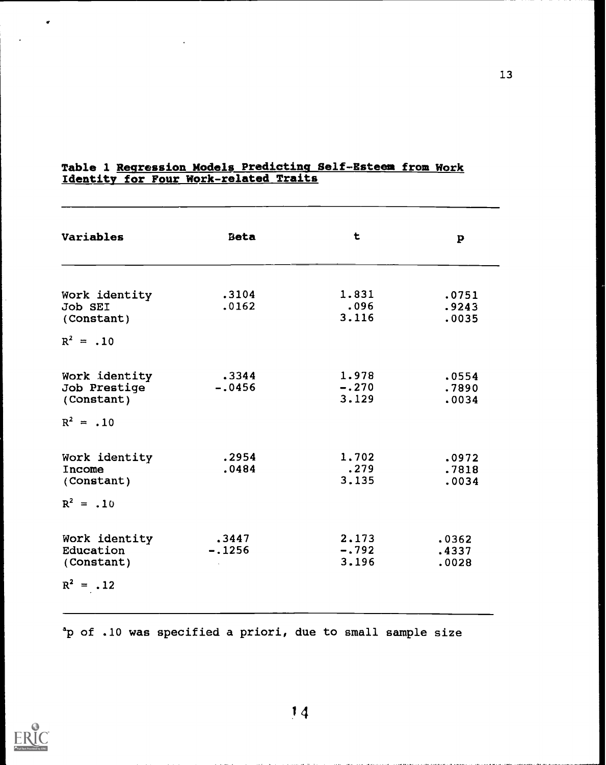| Variables                    | <b>Beta</b> | t             | $\mathbf{p}$   |
|------------------------------|-------------|---------------|----------------|
|                              |             |               |                |
| Work identity                | .3104       | 1.831         | .0751          |
| <b>Job SEI</b><br>(Constant) | .0162       | .096<br>3.116 | .9243<br>.0035 |
|                              |             |               |                |
| $R^2 = .10$                  |             |               |                |
| Work identity                | .3344       | 1.978         | .0554          |
| Job Prestige                 | $-.0456$    | $-.270$       | .7890          |
| (Constant)                   |             | 3.129         | .0034          |
| $R^2 = .10$                  |             |               |                |
| Work identity                | .2954       | 1.702         | .0972          |
| Income                       | .0484       | .279          | .7818          |
| (Constant)                   |             | 3.135         | .0034          |
| $R^2 = .10$                  |             |               |                |
| Work identity                | .3447       | 2.173         | .0362          |
| Education                    | $-.1256$    | $-.792$       | .4337          |
| (Constant)                   |             | 3.196         | .0028          |
| $R^2$<br>$= .12$             |             |               |                |

### Table 1 Regression Models Predicting Self-Esteem from Work Identity for Four Work-related Traits

ap of .10 was specified a priori, due to small sample size